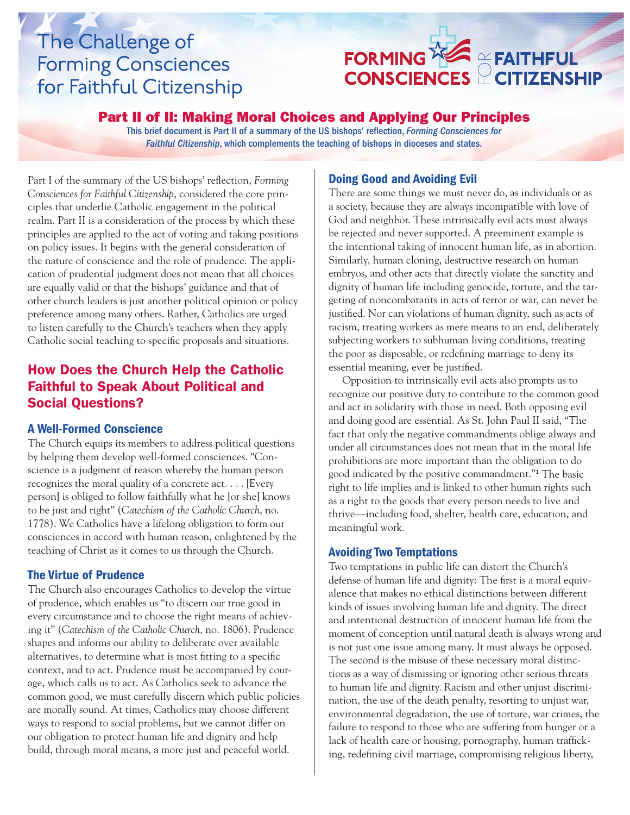# The Challenge of Forming Consciences for Faithful Citizenship



### Part II of II: Making Moral Choices and Applying Our Principles

This brief document is Part II of a summary of the US bishops' reflection, *Forming Consciences for Faithful Citizenship*, which complements the teaching of bishops in dioceses and states.

Part I of the summary of the US bishops' reflection, *Forming Consciences for Faithful Citizenship*, considered the core principles that underlie Catholic engagement in the political realm. Part II is a consideration of the process by which these principles are applied to the act of voting and taking positions on policy issues. It begins with the general consideration of the nature of conscience and the role of prudence. The application of prudential judgment does not mean that all choices are equally valid or that the bishops' guidance and that of other church leaders is just another political opinion or policy preference among many others. Rather, Catholics are urged to listen carefully to the Church's teachers when they apply Catholic social teaching to specific proposals and situations.

# How Does the Church Help the Catholic Faithful to Speak About Political and Social Questions?

#### A Well-Formed Conscience

The Church equips its members to address political questions by helping them develop well-formed consciences. "Conscience is a judgment of reason whereby the human person recognizes the moral quality of a concrete act. . . . [Every person] is obliged to follow faithfully what he [or she] knows to be just and right" (*Catechism of the Catholic Church*, no. 1778). We Catholics have a lifelong obligation to form our consciences in accord with human reason, enlightened by the teaching of Christ as it comes to us through the Church.

#### The Virtue of Prudence

The Church also encourages Catholics to develop the virtue of prudence, which enables us "to discern our true good in every circumstance and to choose the right means of achieving it" (*Catechism of the Catholic Church*, no. 1806). Prudence shapes and informs our ability to deliberate over available alternatives, to determine what is most fitting to a specific context, and to act. Prudence must be accompanied by courage, which calls us to act. As Catholics seek to advance the common good, we must carefully discern which public policies are morally sound. At times, Catholics may choose different ways to respond to social problems, but we cannot differ on our obligation to protect human life and dignity and help build, through moral means, a more just and peaceful world.

#### Doing Good and Avoiding Evil

There are some things we must never do, as individuals or as a society, because they are always incompatible with love of God and neighbor. These intrinsically evil acts must always be rejected and never supported. A preeminent example is the intentional taking of innocent human life, as in abortion. Similarly, human cloning, destructive research on human embryos, and other acts that directly violate the sanctity and dignity of human life including genocide, torture, and the targeting of noncombatants in acts of terror or war, can never be justified. Nor can violations of human dignity, such as acts of racism, treating workers as mere means to an end, deliberately subjecting workers to subhuman living conditions, treating the poor as disposable, or redefining marriage to deny its essential meaning, ever be justified.

Opposition to intrinsically evil acts also prompts us to recognize our positive duty to contribute to the common good and act in solidarity with those in need. Both opposing evil and doing good are essential. As St. John Paul II said, "The fact that only the negative commandments oblige always and under all circumstances does not mean that in the moral life prohibitions are more important than the obligation to do good indicated by the positive commandment."<sup>1</sup> The basic right to life implies and is linked to other human rights such as a right to the goods that every person needs to live and thrive—including food, shelter, health care, education, and meaningful work.

#### Avoiding Two Temptations

Two temptations in public life can distort the Church's defense of human life and dignity: The first is a moral equivalence that makes no ethical distinctions between different kinds of issues involving human life and dignity. The direct and intentional destruction of innocent human life from the moment of conception until natural death is always wrong and is not just one issue among many. It must always be opposed. The second is the misuse of these necessary moral distinctions as a way of dismissing or ignoring other serious threats to human life and dignity. Racism and other unjust discrimination, the use of the death penalty, resorting to unjust war, environmental degradation, the use of torture, war crimes, the failure to respond to those who are suffering from hunger or a lack of health care or housing, pornography, human trafficking, redefining civil marriage, compromising religious liberty,